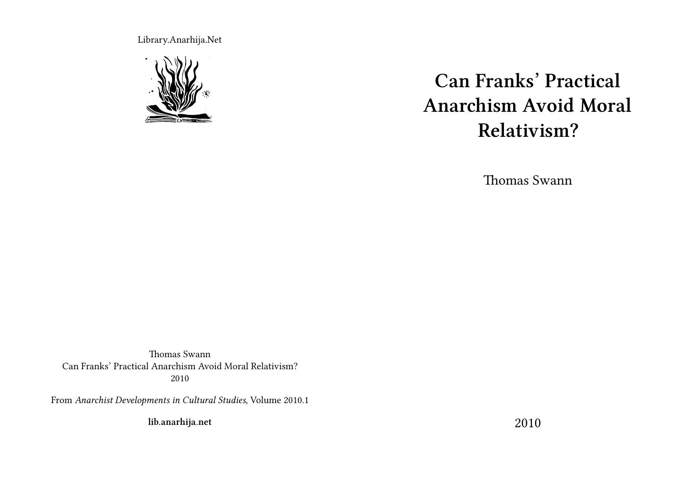Library.Anarhija.Net



# **Can Franks' Practical Anarchism Avoid Moral Relativism?**

Thomas Swann

Thomas Swann Can Franks' Practical Anarchism Avoid Moral Relativism? 2010

From *Anarchist Developments in Cultural Studies*, Volume 2010.1

**lib.anarhija.net**

2010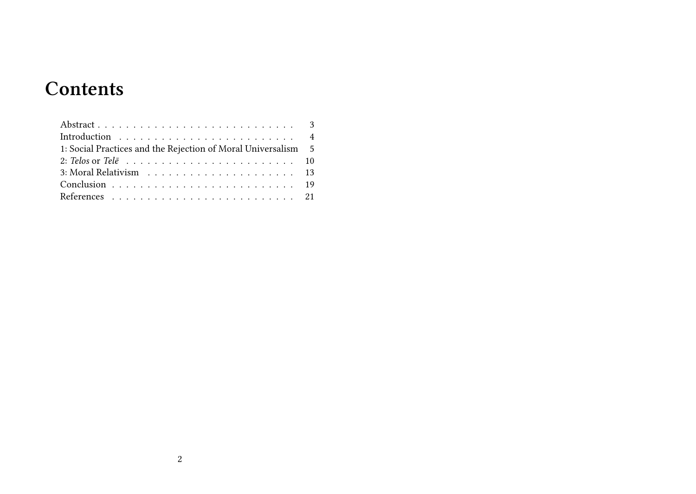## **Contents**

| 1: Social Practices and the Rejection of Moral Universalism 5 |  |
|---------------------------------------------------------------|--|
|                                                               |  |
|                                                               |  |
|                                                               |  |
|                                                               |  |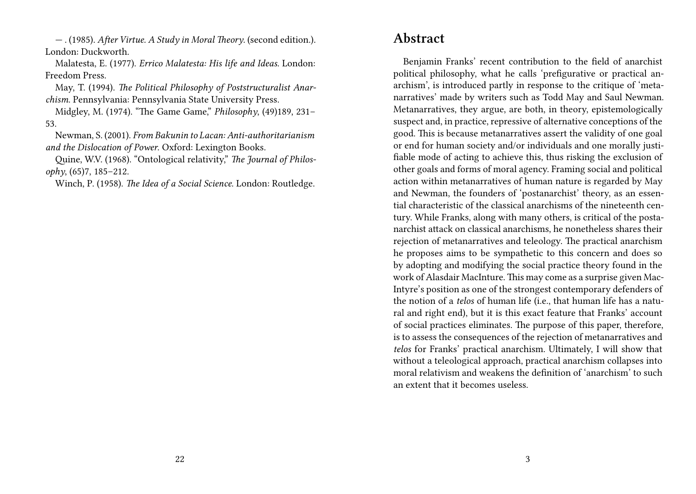— . (1985). *After Virtue. A Study in Moral Theory*. (second edition.). London: Duckworth.

Malatesta, E. (1977). *Errico Malatesta: His life and Ideas*. London: Freedom Press.

May, T. (1994). *The Political Philosophy of Poststructuralist Anarchism*. Pennsylvania: Pennsylvania State University Press.

Midgley, M. (1974). "The Game Game," *Philosophy*, (49)189, 231– 53.

Newman, S. (2001). *From Bakunin to Lacan: Anti-authoritarianism and the Dislocation of Power*. Oxford: Lexington Books.

Quine, W.V. (1968). "Ontological relativity," *The Journal of Philosophy*, (65)7, 185–212.

Winch, P. (1958). *The Idea of a Social Science*. London: Routledge.

#### **Abstract**

Benjamin Franks' recent contribution to the field of anarchist political philosophy, what he calls 'prefigurative or practical anarchism', is introduced partly in response to the critique of 'metanarratives' made by writers such as Todd May and Saul Newman. Metanarratives, they argue, are both, in theory, epistemologically suspect and, in practice, repressive of alternative conceptions of the good. This is because metanarratives assert the validity of one goal or end for human society and/or individuals and one morally justifiable mode of acting to achieve this, thus risking the exclusion of other goals and forms of moral agency. Framing social and political action within metanarratives of human nature is regarded by May and Newman, the founders of 'postanarchist' theory, as an essential characteristic of the classical anarchisms of the nineteenth century. While Franks, along with many others, is critical of the postanarchist attack on classical anarchisms, he nonetheless shares their rejection of metanarratives and teleology. The practical anarchism he proposes aims to be sympathetic to this concern and does so by adopting and modifying the social practice theory found in the work of Alasdair MacInture. This may come as a surprise given Mac-Intyre's position as one of the strongest contemporary defenders of the notion of a *telos* of human life (i.e., that human life has a natural and right end), but it is this exact feature that Franks' account of social practices eliminates. The purpose of this paper, therefore, is to assess the consequences of the rejection of metanarratives and *telos* for Franks' practical anarchism. Ultimately, I will show that without a teleological approach, practical anarchism collapses into moral relativism and weakens the definition of 'anarchism' to such an extent that it becomes useless.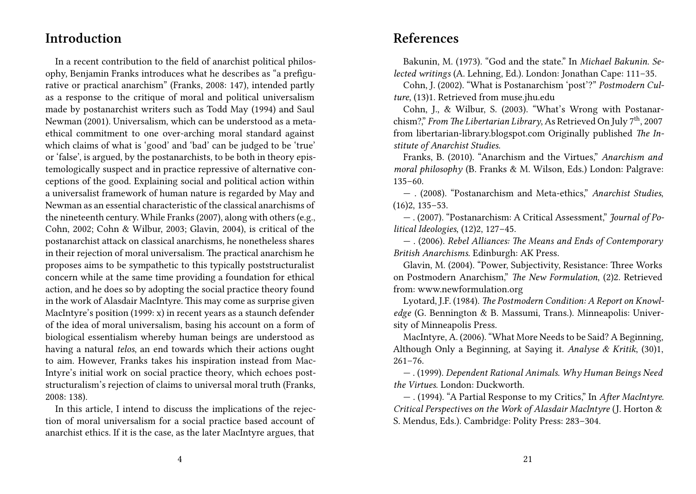#### **Introduction**

In a recent contribution to the field of anarchist political philosophy, Benjamin Franks introduces what he describes as "a prefigurative or practical anarchism" (Franks, 2008: 147), intended partly as a response to the critique of moral and political universalism made by postanarchist writers such as Todd May (1994) and Saul Newman (2001). Universalism, which can be understood as a metaethical commitment to one over-arching moral standard against which claims of what is 'good' and 'bad' can be judged to be 'true' or 'false', is argued, by the postanarchists, to be both in theory epistemologically suspect and in practice repressive of alternative conceptions of the good. Explaining social and political action within a universalist framework of human nature is regarded by May and Newman as an essential characteristic of the classical anarchisms of the nineteenth century. While Franks (2007), along with others (e.g., Cohn, 2002; Cohn & Wilbur, 2003; Glavin, 2004), is critical of the postanarchist attack on classical anarchisms, he nonetheless shares in their rejection of moral universalism. The practical anarchism he proposes aims to be sympathetic to this typically poststructuralist concern while at the same time providing a foundation for ethical action, and he does so by adopting the social practice theory found in the work of Alasdair MacIntyre. This may come as surprise given MacIntyre's position (1999: x) in recent years as a staunch defender of the idea of moral universalism, basing his account on a form of biological essentialism whereby human beings are understood as having a natural *telos*, an end towards which their actions ought to aim. However, Franks takes his inspiration instead from Mac-Intyre's initial work on social practice theory, which echoes poststructuralism's rejection of claims to universal moral truth (Franks, 2008: 138).

In this article, I intend to discuss the implications of the rejection of moral universalism for a social practice based account of anarchist ethics. If it is the case, as the later MacIntyre argues, that

#### **References**

Bakunin, M. (1973). "God and the state." In *Michael Bakunin. Selected writings* (A. Lehning, Ed.). London: Jonathan Cape: 111–35.

Cohn, J. (2002). "What is Postanarchism 'post'?" *Postmodern Culture*, (13)1. Retrieved from muse.jhu.edu

Cohn, J., & Wilbur, S. (2003). "What's Wrong with Postanarchism?," *From The Libertarian Library*, As Retrieved On July 7th, 2007 from libertarian-library.blogspot.com Originally published *The Institute of Anarchist Studies*.

Franks, B. (2010). "Anarchism and the Virtues," *Anarchism and moral philosophy* (B. Franks & M. Wilson, Eds.) London: Palgrave: 135–60.

— . (2008). "Postanarchism and Meta-ethics," *Anarchist Studies*, (16)2, 135–53.

— . (2007). "Postanarchism: A Critical Assessment," *Journal of Political Ideologies*, (12)2, 127–45.

— . (2006). *Rebel Alliances: The Means and Ends of Contemporary British Anarchisms*. Edinburgh: AK Press.

Glavin, M. (2004). "Power, Subjectivity, Resistance: Three Works on Postmodern Anarchism," *The New Formulation*, (2)2. Retrieved from: www.newformulation.org

Lyotard, J.F. (1984). *The Postmodern Condition: A Report on Knowledge* (G. Bennington & B. Massumi, Trans.). Minneapolis: University of Minneapolis Press.

MacIntyre, A. (2006). "What More Needs to be Said? A Beginning, Although Only a Beginning, at Saying it. *Analyse & Kritik*, (30)1, 261–76.

— . (1999). *Dependent Rational Animals. Why Human Beings Need the Virtues*. London: Duckworth.

— . (1994). "A Partial Response to my Critics," In *After MacIntyre. Critical Perspectives on the Work of Alasdair MacIntyre* (J. Horton & S. Mendus, Eds.). Cambridge: Polity Press: 283–304.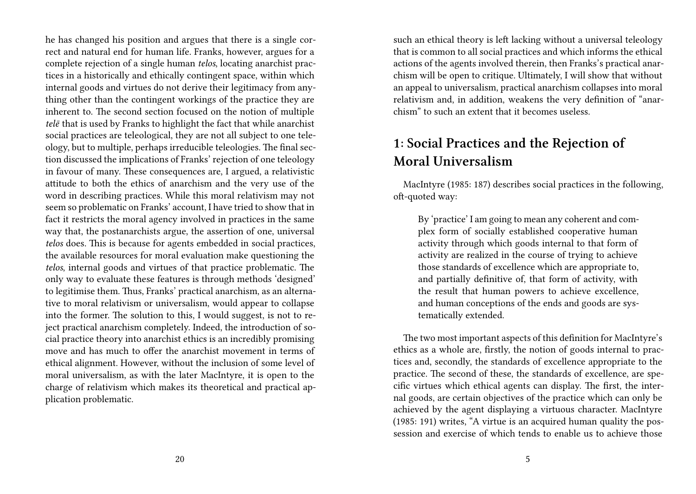he has changed his position and argues that there is a single correct and natural end for human life. Franks, however, argues for a complete rejection of a single human *telos*, locating anarchist practices in a historically and ethically contingent space, within which internal goods and virtues do not derive their legitimacy from anything other than the contingent workings of the practice they are inherent to. The second section focused on the notion of multiple *telē* that is used by Franks to highlight the fact that while anarchist social practices are teleological, they are not all subject to one teleology, but to multiple, perhaps irreducible teleologies. The final section discussed the implications of Franks' rejection of one teleology in favour of many. These consequences are, I argued, a relativistic attitude to both the ethics of anarchism and the very use of the word in describing practices. While this moral relativism may not seem so problematic on Franks' account, I have tried to show that in fact it restricts the moral agency involved in practices in the same way that, the postanarchists argue, the assertion of one, universal *telos* does. This is because for agents embedded in social practices, the available resources for moral evaluation make questioning the *telos*, internal goods and virtues of that practice problematic. The only way to evaluate these features is through methods 'designed' to legitimise them. Thus, Franks' practical anarchism, as an alternative to moral relativism or universalism, would appear to collapse into the former. The solution to this, I would suggest, is not to reject practical anarchism completely. Indeed, the introduction of social practice theory into anarchist ethics is an incredibly promising move and has much to offer the anarchist movement in terms of ethical alignment. However, without the inclusion of some level of moral universalism, as with the later MacIntyre, it is open to the charge of relativism which makes its theoretical and practical application problematic.

such an ethical theory is left lacking without a universal teleology that is common to all social practices and which informs the ethical actions of the agents involved therein, then Franks's practical anarchism will be open to critique. Ultimately, I will show that without an appeal to universalism, practical anarchism collapses into moral relativism and, in addition, weakens the very definition of "anarchism" to such an extent that it becomes useless.

### **1: Social Practices and the Rejection of Moral Universalism**

MacIntyre (1985: 187) describes social practices in the following, oft-quoted way:

By 'practice' I am going to mean any coherent and complex form of socially established cooperative human activity through which goods internal to that form of activity are realized in the course of trying to achieve those standards of excellence which are appropriate to, and partially definitive of, that form of activity, with the result that human powers to achieve excellence, and human conceptions of the ends and goods are systematically extended.

The two most important aspects of this definition for MacIntyre's ethics as a whole are, firstly, the notion of goods internal to practices and, secondly, the standards of excellence appropriate to the practice. The second of these, the standards of excellence, are specific virtues which ethical agents can display. The first, the internal goods, are certain objectives of the practice which can only be achieved by the agent displaying a virtuous character. MacIntyre (1985: 191) writes, "A virtue is an acquired human quality the possession and exercise of which tends to enable us to achieve those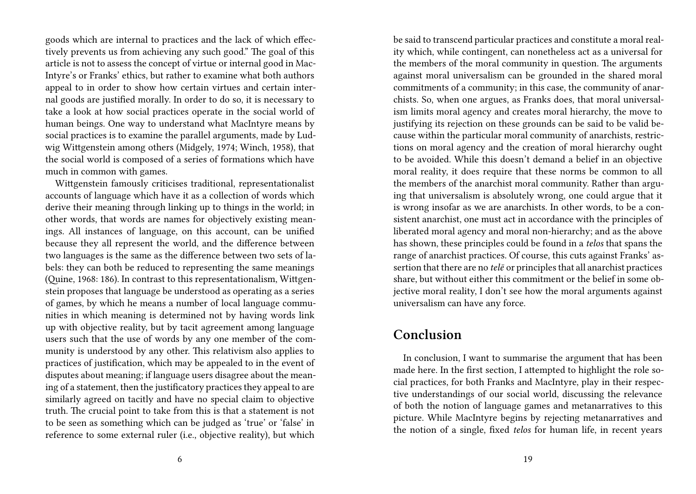goods which are internal to practices and the lack of which effectively prevents us from achieving any such good." The goal of this article is not to assess the concept of virtue or internal good in Mac-Intyre's or Franks' ethics, but rather to examine what both authors appeal to in order to show how certain virtues and certain internal goods are justified morally. In order to do so, it is necessary to take a look at how social practices operate in the social world of human beings. One way to understand what MacIntyre means by social practices is to examine the parallel arguments, made by Ludwig Wittgenstein among others (Midgely, 1974; Winch, 1958), that the social world is composed of a series of formations which have much in common with games.

Wittgenstein famously criticises traditional, representationalist accounts of language which have it as a collection of words which derive their meaning through linking up to things in the world; in other words, that words are names for objectively existing meanings. All instances of language, on this account, can be unified because they all represent the world, and the difference between two languages is the same as the difference between two sets of labels: they can both be reduced to representing the same meanings (Quine, 1968: 186). In contrast to this representationalism, Wittgenstein proposes that language be understood as operating as a series of games, by which he means a number of local language communities in which meaning is determined not by having words link up with objective reality, but by tacit agreement among language users such that the use of words by any one member of the community is understood by any other. This relativism also applies to practices of justification, which may be appealed to in the event of disputes about meaning; if language users disagree about the meaning of a statement, then the justificatory practices they appeal to are similarly agreed on tacitly and have no special claim to objective truth. The crucial point to take from this is that a statement is not to be seen as something which can be judged as 'true' or 'false' in reference to some external ruler (i.e., objective reality), but which

be said to transcend particular practices and constitute a moral reality which, while contingent, can nonetheless act as a universal for the members of the moral community in question. The arguments against moral universalism can be grounded in the shared moral commitments of a community; in this case, the community of anarchists. So, when one argues, as Franks does, that moral universalism limits moral agency and creates moral hierarchy, the move to justifying its rejection on these grounds can be said to be valid because within the particular moral community of anarchists, restrictions on moral agency and the creation of moral hierarchy ought to be avoided. While this doesn't demand a belief in an objective moral reality, it does require that these norms be common to all the members of the anarchist moral community. Rather than arguing that universalism is absolutely wrong, one could argue that it is wrong insofar as we are anarchists. In other words, to be a consistent anarchist, one must act in accordance with the principles of liberated moral agency and moral non-hierarchy; and as the above has shown, these principles could be found in a *telos* that spans the range of anarchist practices. Of course, this cuts against Franks' assertion that there are no *telē* or principles that all anarchist practices share, but without either this commitment or the belief in some objective moral reality, I don't see how the moral arguments against universalism can have any force.

#### **Conclusion**

In conclusion, I want to summarise the argument that has been made here. In the first section, I attempted to highlight the role social practices, for both Franks and MacIntyre, play in their respective understandings of our social world, discussing the relevance of both the notion of language games and metanarratives to this picture. While MacIntyre begins by rejecting metanarratives and the notion of a single, fixed *telos* for human life, in recent years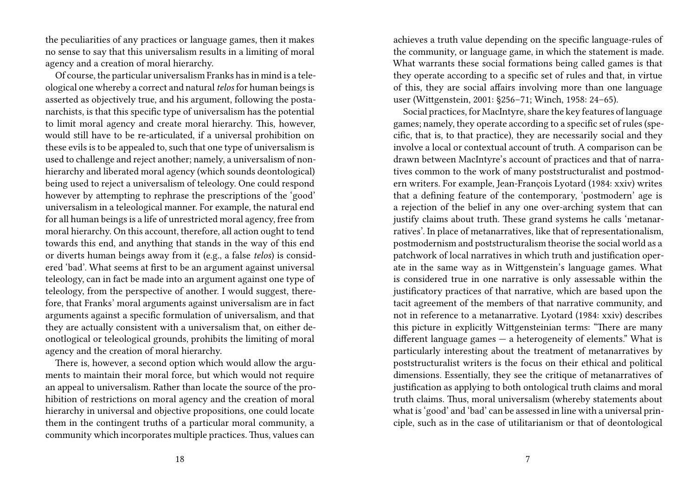the peculiarities of any practices or language games, then it makes no sense to say that this universalism results in a limiting of moral agency and a creation of moral hierarchy.

Of course, the particular universalism Franks has in mind is a teleological one whereby a correct and natural *telos* for human beings is asserted as objectively true, and his argument, following the postanarchists, is that this specific type of universalism has the potential to limit moral agency and create moral hierarchy. This, however, would still have to be re-articulated, if a universal prohibition on these evils is to be appealed to, such that one type of universalism is used to challenge and reject another; namely, a universalism of nonhierarchy and liberated moral agency (which sounds deontological) being used to reject a universalism of teleology. One could respond however by attempting to rephrase the prescriptions of the 'good' universalism in a teleological manner. For example, the natural end for all human beings is a life of unrestricted moral agency, free from moral hierarchy. On this account, therefore, all action ought to tend towards this end, and anything that stands in the way of this end or diverts human beings away from it (e.g., a false *telos*) is considered 'bad'. What seems at first to be an argument against universal teleology, can in fact be made into an argument against one type of teleology, from the perspective of another. I would suggest, therefore, that Franks' moral arguments against universalism are in fact arguments against a specific formulation of universalism, and that they are actually consistent with a universalism that, on either deonotlogical or teleological grounds, prohibits the limiting of moral agency and the creation of moral hierarchy.

There is, however, a second option which would allow the arguments to maintain their moral force, but which would not require an appeal to universalism. Rather than locate the source of the prohibition of restrictions on moral agency and the creation of moral hierarchy in universal and objective propositions, one could locate them in the contingent truths of a particular moral community, a community which incorporates multiple practices. Thus, values can

achieves a truth value depending on the specific language-rules of the community, or language game, in which the statement is made. What warrants these social formations being called games is that they operate according to a specific set of rules and that, in virtue of this, they are social affairs involving more than one language user (Wittgenstein, 2001: §256–71; Winch, 1958: 24–65).

Social practices, for MacIntyre, share the key features of language games; namely, they operate according to a specific set of rules (specific, that is, to that practice), they are necessarily social and they involve a local or contextual account of truth. A comparison can be drawn between MacIntyre's account of practices and that of narratives common to the work of many poststructuralist and postmodern writers. For example, Jean-François Lyotard (1984: xxiv) writes that a defining feature of the contemporary, 'postmodern' age is a rejection of the belief in any one over-arching system that can justify claims about truth. These grand systems he calls 'metanarratives'. In place of metanarratives, like that of representationalism, postmodernism and poststructuralism theorise the social world as a patchwork of local narratives in which truth and justification operate in the same way as in Wittgenstein's language games. What is considered true in one narrative is only assessable within the justificatory practices of that narrative, which are based upon the tacit agreement of the members of that narrative community, and not in reference to a metanarrative. Lyotard (1984: xxiv) describes this picture in explicitly Wittgensteinian terms: "There are many different language games  $-$  a heterogeneity of elements." What is particularly interesting about the treatment of metanarratives by poststructuralist writers is the focus on their ethical and political dimensions. Essentially, they see the critique of metanarratives of justification as applying to both ontological truth claims and moral truth claims. Thus, moral universalism (whereby statements about what is 'good' and 'bad' can be assessed in line with a universal principle, such as in the case of utilitarianism or that of deontological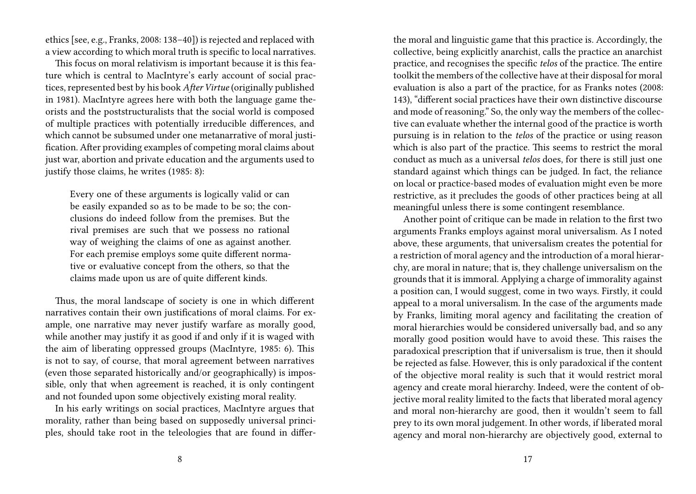ethics [see, e.g., Franks, 2008: 138–40]) is rejected and replaced with a view according to which moral truth is specific to local narratives.

This focus on moral relativism is important because it is this feature which is central to MacIntyre's early account of social practices, represented best by his book *After Virtue* (originally published in 1981). MacIntyre agrees here with both the language game theorists and the poststructuralists that the social world is composed of multiple practices with potentially irreducible differences, and which cannot be subsumed under one metanarrative of moral justification. After providing examples of competing moral claims about just war, abortion and private education and the arguments used to justify those claims, he writes (1985: 8):

Every one of these arguments is logically valid or can be easily expanded so as to be made to be so; the conclusions do indeed follow from the premises. But the rival premises are such that we possess no rational way of weighing the claims of one as against another. For each premise employs some quite different normative or evaluative concept from the others, so that the claims made upon us are of quite different kinds.

Thus, the moral landscape of society is one in which different narratives contain their own justifications of moral claims. For example, one narrative may never justify warfare as morally good, while another may justify it as good if and only if it is waged with the aim of liberating oppressed groups (MacIntyre, 1985: 6). This is not to say, of course, that moral agreement between narratives (even those separated historically and/or geographically) is impossible, only that when agreement is reached, it is only contingent and not founded upon some objectively existing moral reality.

In his early writings on social practices, MacIntyre argues that morality, rather than being based on supposedly universal principles, should take root in the teleologies that are found in differthe moral and linguistic game that this practice is. Accordingly, the collective, being explicitly anarchist, calls the practice an anarchist practice, and recognises the specific *telos* of the practice. The entire toolkit the members of the collective have at their disposal for moral evaluation is also a part of the practice, for as Franks notes (2008: 143), "different social practices have their own distinctive discourse and mode of reasoning." So, the only way the members of the collective can evaluate whether the internal good of the practice is worth pursuing is in relation to the *telos* of the practice or using reason which is also part of the practice. This seems to restrict the moral conduct as much as a universal *telos* does, for there is still just one standard against which things can be judged. In fact, the reliance on local or practice-based modes of evaluation might even be more restrictive, as it precludes the goods of other practices being at all meaningful unless there is some contingent resemblance.

Another point of critique can be made in relation to the first two arguments Franks employs against moral universalism. As I noted above, these arguments, that universalism creates the potential for a restriction of moral agency and the introduction of a moral hierarchy, are moral in nature; that is, they challenge universalism on the grounds that it is immoral. Applying a charge of immorality against a position can, I would suggest, come in two ways. Firstly, it could appeal to a moral universalism. In the case of the arguments made by Franks, limiting moral agency and facilitating the creation of moral hierarchies would be considered universally bad, and so any morally good position would have to avoid these. This raises the paradoxical prescription that if universalism is true, then it should be rejected as false. However, this is only paradoxical if the content of the objective moral reality is such that it would restrict moral agency and create moral hierarchy. Indeed, were the content of objective moral reality limited to the facts that liberated moral agency and moral non-hierarchy are good, then it wouldn't seem to fall prey to its own moral judgement. In other words, if liberated moral agency and moral non-hierarchy are objectively good, external to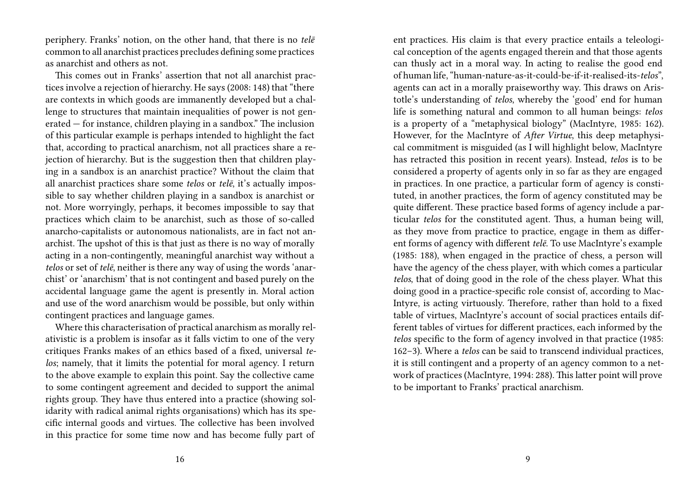periphery. Franks' notion, on the other hand, that there is no *telē* common to all anarchist practices precludes defining some practices as anarchist and others as not.

This comes out in Franks' assertion that not all anarchist practices involve a rejection of hierarchy. He says (2008: 148) that "there are contexts in which goods are immanently developed but a challenge to structures that maintain inequalities of power is not generated — for instance, children playing in a sandbox." The inclusion of this particular example is perhaps intended to highlight the fact that, according to practical anarchism, not all practices share a rejection of hierarchy. But is the suggestion then that children playing in a sandbox is an anarchist practice? Without the claim that all anarchist practices share some *telos* or *telē*, it's actually impossible to say whether children playing in a sandbox is anarchist or not. More worryingly, perhaps, it becomes impossible to say that practices which claim to be anarchist, such as those of so-called anarcho-capitalists or autonomous nationalists, are in fact not anarchist. The upshot of this is that just as there is no way of morally acting in a non-contingently, meaningful anarchist way without a *telos* or set of *telē*, neither is there any way of using the words 'anarchist' or 'anarchism' that is not contingent and based purely on the accidental language game the agent is presently in. Moral action and use of the word anarchism would be possible, but only within contingent practices and language games.

Where this characterisation of practical anarchism as morally relativistic is a problem is insofar as it falls victim to one of the very critiques Franks makes of an ethics based of a fixed, universal *telos*; namely, that it limits the potential for moral agency. I return to the above example to explain this point. Say the collective came to some contingent agreement and decided to support the animal rights group. They have thus entered into a practice (showing solidarity with radical animal rights organisations) which has its specific internal goods and virtues. The collective has been involved in this practice for some time now and has become fully part of

ent practices. His claim is that every practice entails a teleological conception of the agents engaged therein and that those agents can thusly act in a moral way. In acting to realise the good end of human life, "human-nature-as-it-could-be-if-it-realised-its-*telos*", agents can act in a morally praiseworthy way. This draws on Aristotle's understanding of *telos*, whereby the 'good' end for human life is something natural and common to all human beings: *telos* is a property of a "metaphysical biology" (MacIntyre, 1985: 162). However, for the MacIntyre of *After Virtue*, this deep metaphysical commitment is misguided (as I will highlight below, MacIntyre has retracted this position in recent years). Instead, *telos* is to be considered a property of agents only in so far as they are engaged in practices. In one practice, a particular form of agency is constituted, in another practices, the form of agency constituted may be quite different. These practice based forms of agency include a particular *telos* for the constituted agent. Thus, a human being will, as they move from practice to practice, engage in them as different forms of agency with different *telē*. To use MacIntyre's example (1985: 188), when engaged in the practice of chess, a person will have the agency of the chess player, with which comes a particular *telos*, that of doing good in the role of the chess player. What this doing good in a practice-specific role consist of, according to Mac-Intyre, is acting virtuously. Therefore, rather than hold to a fixed table of virtues, MacIntyre's account of social practices entails different tables of virtues for different practices, each informed by the *telos* specific to the form of agency involved in that practice (1985: 162–3). Where a *telos* can be said to transcend individual practices, it is still contingent and a property of an agency common to a network of practices (MacIntyre, 1994: 288). This latter point will prove to be important to Franks' practical anarchism.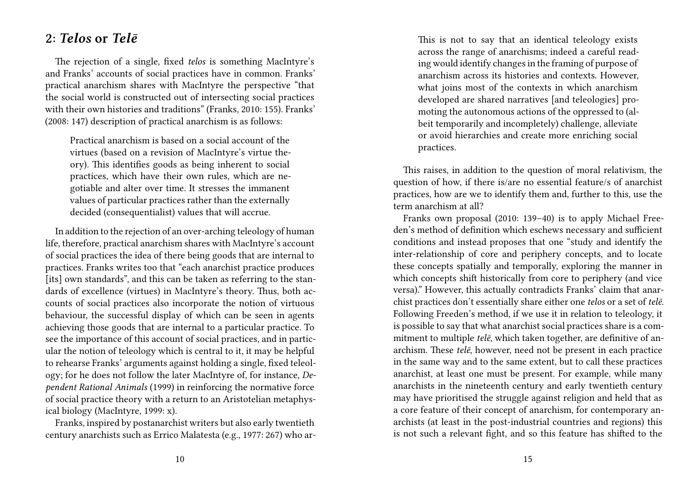#### **2:** *Telos* **or** *Telē*

The rejection of a single, fixed *telos* is something MacIntyre's and Franks' accounts of social practices have in common. Franks' practical anarchism shares with MacIntyre the perspective "that the social world is constructed out of intersecting social practices with their own histories and traditions" (Franks, 2010: 155). Franks' (2008: 147) description of practical anarchism is as follows:

Practical anarchism is based on a social account of the virtues (based on a revision of MacIntyre's virtue theory). This identifies goods as being inherent to social practices, which have their own rules, which are negotiable and alter over time. It stresses the immanent values of particular practices rather than the externally decided (consequentialist) values that will accrue.

In addition to the rejection of an over-arching teleology of human life, therefore, practical anarchism shares with MacIntyre's account of social practices the idea of there being goods that are internal to practices. Franks writes too that "each anarchist practice produces [its] own standards", and this can be taken as referring to the standards of excellence (virtues) in MacIntyre's theory. Thus, both accounts of social practices also incorporate the notion of virtuous behaviour, the successful display of which can be seen in agents achieving those goods that are internal to a particular practice. To see the importance of this account of social practices, and in particular the notion of teleology which is central to it, it may be helpful to rehearse Franks' arguments against holding a single, fixed teleology; for he does not follow the later MacIntyre of, for instance, *Dependent Rational Animals* (1999) in reinforcing the normative force of social practice theory with a return to an Aristotelian metaphysical biology (MacIntyre, 1999: x).

Franks, inspired by postanarchist writers but also early twentieth century anarchists such as Errico Malatesta (e.g., 1977: 267) who arThis is not to say that an identical teleology exists across the range of anarchisms; indeed a careful reading would identify changes in the framing of purpose of anarchism across its histories and contexts. However, what joins most of the contexts in which anarchism developed are shared narratives [and teleologies] promoting the autonomous actions of the oppressed to (albeit temporarily and incompletely) challenge, alleviate or avoid hierarchies and create more enriching social practices.

This raises, in addition to the question of moral relativism, the question of how, if there is/are no essential feature/s of anarchist practices, how are we to identify them and, further to this, use the term anarchism at all?

Franks own proposal (2010: 139–40) is to apply Michael Freeden's method of definition which eschews necessary and sufficient conditions and instead proposes that one "study and identify the inter-relationship of core and periphery concepts, and to locate these concepts spatially and temporally, exploring the manner in which concepts shift historically from core to periphery (and vice versa)." However, this actually contradicts Franks' claim that anarchist practices don't essentially share either one *telos* or a set of *telē*. Following Freeden's method, if we use it in relation to teleology, it is possible to say that what anarchist social practices share is a commitment to multiple *telē*, which taken together, are definitive of anarchism. These *telē*, however, need not be present in each practice in the same way and to the same extent, but to call these practices anarchist, at least one must be present. For example, while many anarchists in the nineteenth century and early twentieth century may have prioritised the struggle against religion and held that as a core feature of their concept of anarchism, for contemporary anarchists (at least in the post-industrial countries and regions) this is not such a relevant fight, and so this feature has shifted to the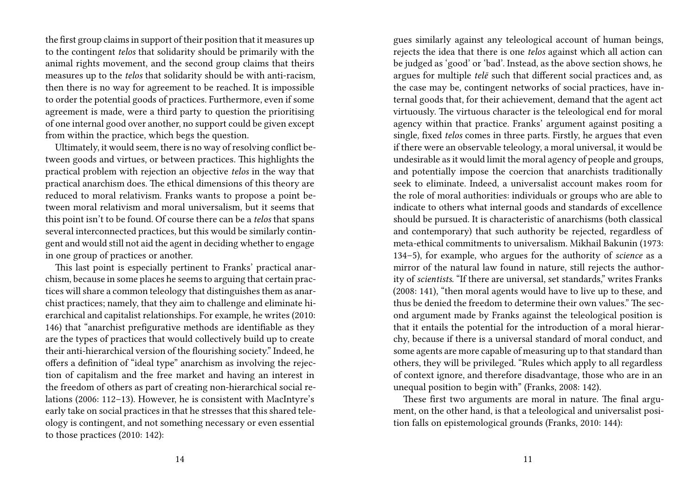the first group claims in support of their position that it measures up to the contingent *telos* that solidarity should be primarily with the animal rights movement, and the second group claims that theirs measures up to the *telos* that solidarity should be with anti-racism, then there is no way for agreement to be reached. It is impossible to order the potential goods of practices. Furthermore, even if some agreement is made, were a third party to question the prioritising of one internal good over another, no support could be given except from within the practice, which begs the question.

Ultimately, it would seem, there is no way of resolving conflict between goods and virtues, or between practices. This highlights the practical problem with rejection an objective *telos* in the way that practical anarchism does. The ethical dimensions of this theory are reduced to moral relativism. Franks wants to propose a point between moral relativism and moral universalism, but it seems that this point isn't to be found. Of course there can be a *telos* that spans several interconnected practices, but this would be similarly contingent and would still not aid the agent in deciding whether to engage in one group of practices or another.

This last point is especially pertinent to Franks' practical anarchism, because in some places he seems to arguing that certain practices will share a common teleology that distinguishes them as anarchist practices; namely, that they aim to challenge and eliminate hierarchical and capitalist relationships. For example, he writes (2010: 146) that "anarchist prefigurative methods are identifiable as they are the types of practices that would collectively build up to create their anti-hierarchical version of the flourishing society." Indeed, he offers a definition of "ideal type" anarchism as involving the rejection of capitalism and the free market and having an interest in the freedom of others as part of creating non-hierarchical social relations (2006: 112–13). However, he is consistent with MacIntyre's early take on social practices in that he stresses that this shared teleology is contingent, and not something necessary or even essential to those practices (2010: 142):

gues similarly against any teleological account of human beings, rejects the idea that there is one *telos* against which all action can be judged as 'good' or 'bad'. Instead, as the above section shows, he argues for multiple *telē* such that different social practices and, as the case may be, contingent networks of social practices, have internal goods that, for their achievement, demand that the agent act virtuously. The virtuous character is the teleological end for moral agency within that practice. Franks' argument against positing a single, fixed *telos* comes in three parts. Firstly, he argues that even if there were an observable teleology, a moral universal, it would be undesirable as it would limit the moral agency of people and groups, and potentially impose the coercion that anarchists traditionally seek to eliminate. Indeed, a universalist account makes room for the role of moral authorities: individuals or groups who are able to indicate to others what internal goods and standards of excellence should be pursued. It is characteristic of anarchisms (both classical and contemporary) that such authority be rejected, regardless of meta-ethical commitments to universalism. Mikhail Bakunin (1973: 134–5), for example, who argues for the authority of *science* as a mirror of the natural law found in nature, still rejects the authority of *scientists*. "If there are universal, set standards," writes Franks (2008: 141), "then moral agents would have to live up to these, and thus be denied the freedom to determine their own values." The second argument made by Franks against the teleological position is that it entails the potential for the introduction of a moral hierarchy, because if there is a universal standard of moral conduct, and some agents are more capable of measuring up to that standard than others, they will be privileged. "Rules which apply to all regardless of context ignore, and therefore disadvantage, those who are in an unequal position to begin with" (Franks, 2008: 142).

These first two arguments are moral in nature. The final argument, on the other hand, is that a teleological and universalist position falls on epistemological grounds (Franks, 2010: 144):